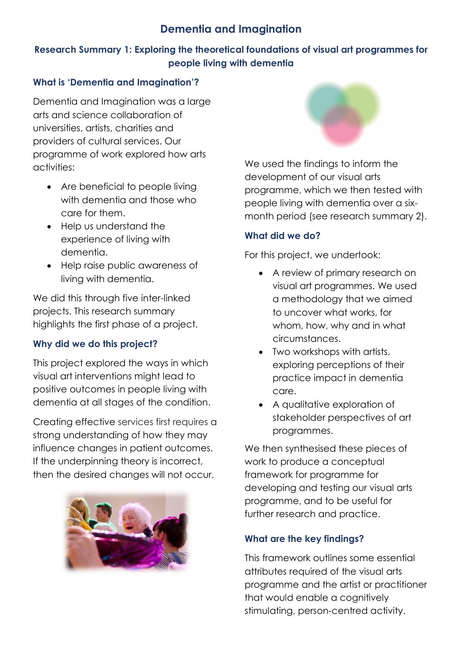# **Dementia and Imagination**

## **Research Summary 1: Exploring the theoretical foundations of visual art programmes for people living with dementia**

### **What is 'Dementia and Imagination'?**

Dementia and Imagination was a large arts and science collaboration of universities, artists, charities and providers of cultural services. Our programme of work explored how arts activities:

- Are beneficial to people living with dementia and those who care for them.
- Help us understand the experience of living with dementia.
- Help raise public awareness of living with dementia.

We did this through five inter-linked projects. This research summary highlights the first phase of a project.

# **Why did we do this project?**

This project explored the ways in which visual art interventions might lead to positive outcomes in people living with dementia at all stages of the condition.

Creating effective services first requires a strong understanding of how they may influence changes in patient outcomes. If the underpinning theory is incorrect, then the desired changes will not occur.





We used the findings to inform the development of our visual arts programme, which we then tested with people living with dementia over a sixmonth period (see research summary 2).

### **What did we do?**

For this project, we undertook:

- A review of primary research on visual art programmes. We used a methodology that we aimed to uncover what works, for whom, how, why and in what circumstances.
- Two workshops with artists, exploring perceptions of their practice impact in dementia care.
- A qualitative exploration of stakeholder perspectives of art programmes.

We then synthesised these pieces of work to produce a conceptual framework for programme for developing and testing our visual arts programme, and to be useful for further research and practice.

## **What are the key findings?**

This framework outlines some essential attributes required of the visual arts programme and the artist or practitioner that would enable a cognitively stimulating, person-centred activity.